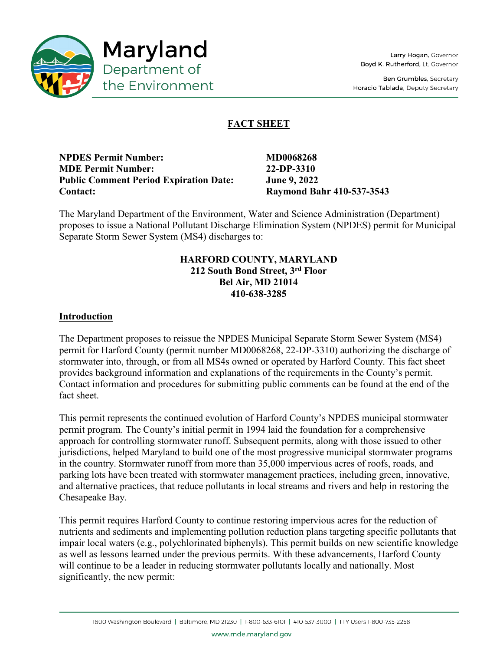

**Ben Grumbles, Secretary** Horacio Tablada, Deputy Secretary

# **FACT SHEET**

**NPDES Permit Number:** MD0068268 **MDE Permit Number: 22-DP-3310 Public Comment Period Expiration Date: June 9, 2022 Contact: Raymond Bahr 410-537-3543**

The Maryland Department of the Environment, Water and Science Administration (Department) proposes to issue a National Pollutant Discharge Elimination System (NPDES) permit for Municipal Separate Storm Sewer System (MS4) discharges to:

## **HARFORD COUNTY, MARYLAND 212 South Bond Street, 3rd Floor Bel Air, MD 21014 410-638-3285**

## **Introduction**

The Department proposes to reissue the NPDES Municipal Separate Storm Sewer System (MS4) permit for Harford County (permit number MD0068268, 22-DP-3310) authorizing the discharge of stormwater into, through, or from all MS4s owned or operated by Harford County. This fact sheet provides background information and explanations of the requirements in the County's permit. Contact information and procedures for submitting public comments can be found at the end of the fact sheet.

This permit represents the continued evolution of Harford County's NPDES municipal stormwater permit program. The County's initial permit in 1994 laid the foundation for a comprehensive approach for controlling stormwater runoff. Subsequent permits, along with those issued to other jurisdictions, helped Maryland to build one of the most progressive municipal stormwater programs in the country. Stormwater runoff from more than 35,000 impervious acres of roofs, roads, and parking lots have been treated with stormwater management practices, including green, innovative, and alternative practices, that reduce pollutants in local streams and rivers and help in restoring the Chesapeake Bay.

This permit requires Harford County to continue restoring impervious acres for the reduction of nutrients and sediments and implementing pollution reduction plans targeting specific pollutants that impair local waters (e.g., polychlorinated biphenyls). This permit builds on new scientific knowledge as well as lessons learned under the previous permits. With these advancements, Harford County will continue to be a leader in reducing stormwater pollutants locally and nationally. Most significantly, the new permit: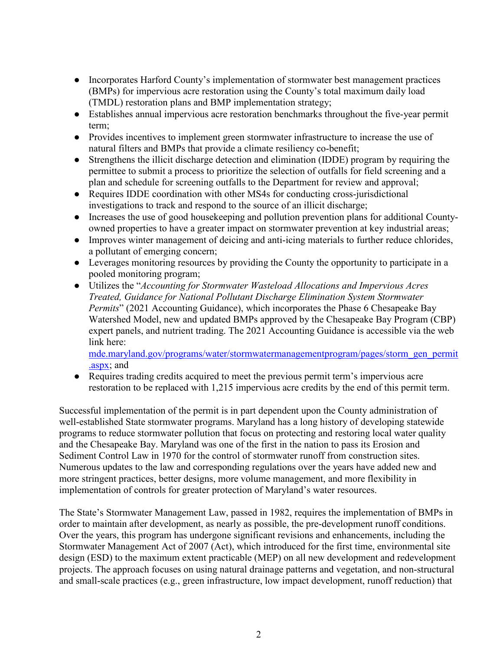- Incorporates Harford County's implementation of stormwater best management practices (BMPs) for impervious acre restoration using the County's total maximum daily load (TMDL) restoration plans and BMP implementation strategy;
- Establishes annual impervious acre restoration benchmarks throughout the five-year permit term;
- Provides incentives to implement green stormwater infrastructure to increase the use of natural filters and BMPs that provide a climate resiliency co-benefit;
- Strengthens the illicit discharge detection and elimination (IDDE) program by requiring the permittee to submit a process to prioritize the selection of outfalls for field screening and a plan and schedule for screening outfalls to the Department for review and approval;
- Requires IDDE coordination with other MS4s for conducting cross-jurisdictional investigations to track and respond to the source of an illicit discharge;
- Increases the use of good housekeeping and pollution prevention plans for additional Countyowned properties to have a greater impact on stormwater prevention at key industrial areas;
- Improves winter management of deicing and anti-icing materials to further reduce chlorides, a pollutant of emerging concern;
- Leverages monitoring resources by providing the County the opportunity to participate in a pooled monitoring program;
- Utilizes the "*Accounting for Stormwater Wasteload Allocations and Impervious Acres Treated, Guidance for National Pollutant Discharge Elimination System Stormwater Permits*" (2021 Accounting Guidance), which incorporates the Phase 6 Chesapeake Bay Watershed Model, new and updated BMPs approved by the Chesapeake Bay Program (CBP) expert panels, and nutrient trading. The 2021 Accounting Guidance is accessible via the web link here:

[mde.maryland.gov/programs/water/stormwatermanagementprogram/pages/storm\\_gen\\_permit](https://mde.maryland.gov/programs/Water/StormwaterManagementProgram/Pages/storm_gen_permit.aspx) [.aspx;](https://mde.maryland.gov/programs/Water/StormwaterManagementProgram/Pages/storm_gen_permit.aspx) and

● Requires trading credits acquired to meet the previous permit term's impervious acre restoration to be replaced with 1,215 impervious acre credits by the end of this permit term.

Successful implementation of the permit is in part dependent upon the County administration of well-established State stormwater programs. Maryland has a long history of developing statewide programs to reduce stormwater pollution that focus on protecting and restoring local water quality and the Chesapeake Bay. Maryland was one of the first in the nation to pass its Erosion and Sediment Control Law in 1970 for the control of stormwater runoff from construction sites. Numerous updates to the law and corresponding regulations over the years have added new and more stringent practices, better designs, more volume management, and more flexibility in implementation of controls for greater protection of Maryland's water resources.

The State's Stormwater Management Law, passed in 1982, requires the implementation of BMPs in order to maintain after development, as nearly as possible, the pre-development runoff conditions. Over the years, this program has undergone significant revisions and enhancements, including the Stormwater Management Act of 2007 (Act), which introduced for the first time, environmental site design (ESD) to the maximum extent practicable (MEP) on all new development and redevelopment projects. The approach focuses on using natural drainage patterns and vegetation, and non-structural and small-scale practices (e.g., green infrastructure, low impact development, runoff reduction) that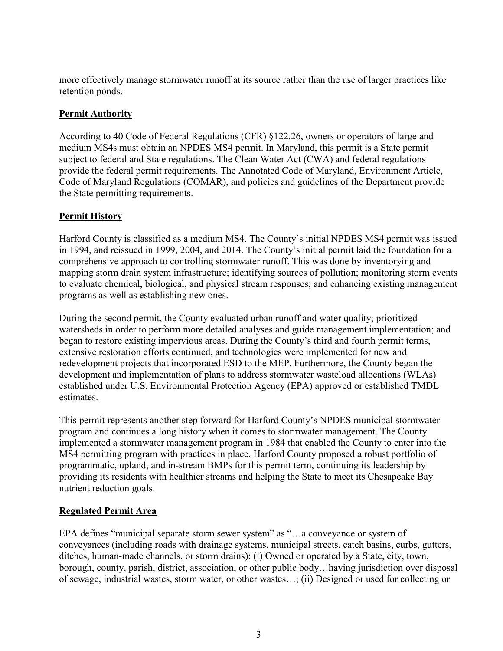more effectively manage stormwater runoff at its source rather than the use of larger practices like retention ponds.

## **Permit Authority**

According to 40 Code of Federal Regulations (CFR) §122.26, owners or operators of large and medium MS4s must obtain an NPDES MS4 permit. In Maryland, this permit is a State permit subject to federal and State regulations. The Clean Water Act (CWA) and federal regulations provide the federal permit requirements. The Annotated Code of Maryland, Environment Article, Code of Maryland Regulations (COMAR), and policies and guidelines of the Department provide the State permitting requirements.

## **Permit History**

Harford County is classified as a medium MS4. The County's initial NPDES MS4 permit was issued in 1994, and reissued in 1999, 2004, and 2014. The County's initial permit laid the foundation for a comprehensive approach to controlling stormwater runoff. This was done by inventorying and mapping storm drain system infrastructure; identifying sources of pollution; monitoring storm events to evaluate chemical, biological, and physical stream responses; and enhancing existing management programs as well as establishing new ones.

During the second permit, the County evaluated urban runoff and water quality; prioritized watersheds in order to perform more detailed analyses and guide management implementation; and began to restore existing impervious areas. During the County's third and fourth permit terms, extensive restoration efforts continued, and technologies were implemented for new and redevelopment projects that incorporated ESD to the MEP. Furthermore, the County began the development and implementation of plans to address stormwater wasteload allocations (WLAs) established under U.S. Environmental Protection Agency (EPA) approved or established TMDL estimates.

This permit represents another step forward for Harford County's NPDES municipal stormwater program and continues a long history when it comes to stormwater management. The County implemented a stormwater management program in 1984 that enabled the County to enter into the MS4 permitting program with practices in place. Harford County proposed a robust portfolio of programmatic, upland, and in-stream BMPs for this permit term, continuing its leadership by providing its residents with healthier streams and helping the State to meet its Chesapeake Bay nutrient reduction goals.

## **Regulated Permit Area**

EPA defines "municipal separate storm sewer system" as "…a conveyance or system of conveyances (including roads with drainage systems, municipal streets, catch basins, curbs, gutters, ditches, human-made channels, or storm drains): (i) Owned or operated by a State, city, town, borough, county, parish, district, association, or other public body…having jurisdiction over disposal of sewage, industrial wastes, storm water, or other wastes…; (ii) Designed or used for collecting or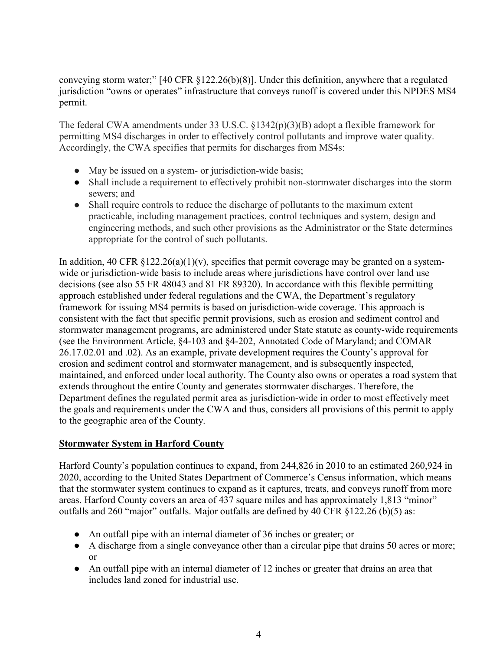conveying storm water;" [40 CFR §122.26(b)(8)]. Under this definition, anywhere that a regulated jurisdiction "owns or operates" infrastructure that conveys runoff is covered under this NPDES MS4 permit.

The federal CWA amendments under 33 U.S.C. §1342(p)(3)(B) adopt a flexible framework for permitting MS4 discharges in order to effectively control pollutants and improve water quality. Accordingly, the CWA specifies that permits for discharges from MS4s:

- May be issued on a system- or jurisdiction-wide basis;
- Shall include a requirement to effectively prohibit non-stormwater discharges into the storm sewers; and
- Shall require controls to reduce the discharge of pollutants to the maximum extent practicable, including management practices, control techniques and system, design and engineering methods, and such other provisions as the Administrator or the State determines appropriate for the control of such pollutants.

In addition, 40 CFR  $\S 122.26(a)(1)(v)$ , specifies that permit coverage may be granted on a systemwide or jurisdiction-wide basis to include areas where jurisdictions have control over land use decisions (see also 55 FR 48043 and 81 FR 89320). In accordance with this flexible permitting approach established under federal regulations and the CWA, the Department's regulatory framework for issuing MS4 permits is based on jurisdiction-wide coverage. This approach is consistent with the fact that specific permit provisions, such as erosion and sediment control and stormwater management programs, are administered under State statute as county-wide requirements (see the Environment Article, §4-103 and §4-202, Annotated Code of Maryland; and COMAR 26.17.02.01 and .02). As an example, private development requires the County's approval for erosion and sediment control and stormwater management, and is subsequently inspected, maintained, and enforced under local authority. The County also owns or operates a road system that extends throughout the entire County and generates stormwater discharges. Therefore, the Department defines the regulated permit area as jurisdiction-wide in order to most effectively meet the goals and requirements under the CWA and thus, considers all provisions of this permit to apply to the geographic area of the County.

## **Stormwater System in Harford County**

Harford County's population continues to expand, from 244,826 in 2010 to an estimated 260,924 in 2020, according to the United States Department of Commerce's Census information, which means that the stormwater system continues to expand as it captures, treats, and conveys runoff from more areas. Harford County covers an area of 437 square miles and has approximately 1,813 "minor" outfalls and 260 "major" outfalls. Major outfalls are defined by 40 CFR §122.26 (b)(5) as:

- An outfall pipe with an internal diameter of 36 inches or greater; or
- A discharge from a single conveyance other than a circular pipe that drains 50 acres or more; or
- An outfall pipe with an internal diameter of 12 inches or greater that drains an area that includes land zoned for industrial use.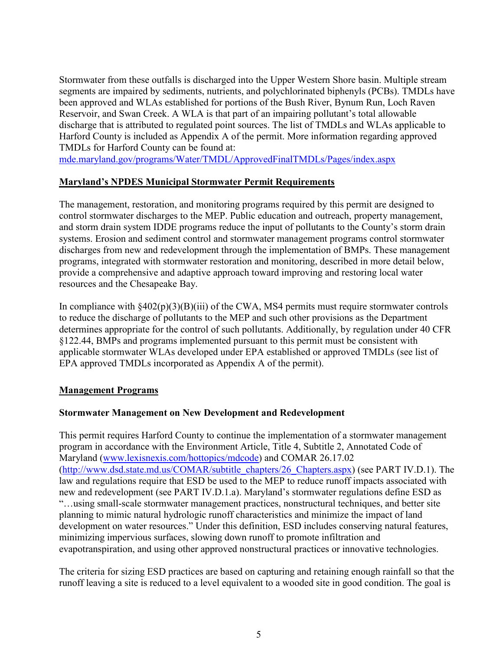Stormwater from these outfalls is discharged into the Upper Western Shore basin. Multiple stream segments are impaired by sediments, nutrients, and polychlorinated biphenyls (PCBs). TMDLs have been approved and WLAs established for portions of the Bush River, Bynum Run, Loch Raven Reservoir, and Swan Creek. A WLA is that part of an impairing pollutant's total allowable discharge that is attributed to regulated point sources. The list of TMDLs and WLAs applicable to Harford County is included as Appendix A of the permit. More information regarding approved TMDLs for Harford County can be found at:

[mde.maryland.gov/programs/Water/TMDL/ApprovedFinalTMDLs/Pages/index.aspx](https://mde.maryland.gov/programs/Water/TMDL/ApprovedFinalTMDLs/Pages/index.aspx)

#### **Maryland's NPDES Municipal Stormwater Permit Requirements**

The management, restoration, and monitoring programs required by this permit are designed to control stormwater discharges to the MEP. Public education and outreach, property management, and storm drain system IDDE programs reduce the input of pollutants to the County's storm drain systems. Erosion and sediment control and stormwater management programs control stormwater discharges from new and redevelopment through the implementation of BMPs. These management programs, integrated with stormwater restoration and monitoring, described in more detail below, provide a comprehensive and adaptive approach toward improving and restoring local water resources and the Chesapeake Bay.

In compliance with  $\frac{8402(p)(3)(B)(iii)}{2}$  of the CWA, MS4 permits must require stormwater controls to reduce the discharge of pollutants to the MEP and such other provisions as the Department determines appropriate for the control of such pollutants. Additionally, by regulation under 40 CFR §122.44, BMPs and programs implemented pursuant to this permit must be consistent with applicable stormwater WLAs developed under EPA established or approved TMDLs (see list of EPA approved TMDLs incorporated as Appendix A of the permit).

#### **Management Programs**

#### **Stormwater Management on New Development and Redevelopment**

This permit requires Harford County to continue the implementation of a stormwater management program in accordance with the Environment Article, Title 4, Subtitle 2, Annotated Code of Maryland [\(www.lexisnexis.com/hottopics/mdcode\)](http://www.lexisnexis.com/hottopics/mdcode) and COMAR 26.17.02 [\(http://www.dsd.state.md.us/COMAR/subtitle\\_chapters/26\\_Chapters.aspx\)](http://www.dsd.state.md.us/COMAR/subtitle_chapters/26_Chapters.aspx) (see PART IV.D.1). The law and regulations require that ESD be used to the MEP to reduce runoff impacts associated with new and redevelopment (see PART IV.D.1.a). Maryland's stormwater regulations define ESD as "…using small-scale stormwater management practices, nonstructural techniques, and better site planning to mimic natural hydrologic runoff characteristics and minimize the impact of land development on water resources." Under this definition, ESD includes conserving natural features, minimizing impervious surfaces, slowing down runoff to promote infiltration and evapotranspiration, and using other approved nonstructural practices or innovative technologies.

The criteria for sizing ESD practices are based on capturing and retaining enough rainfall so that the runoff leaving a site is reduced to a level equivalent to a wooded site in good condition. The goal is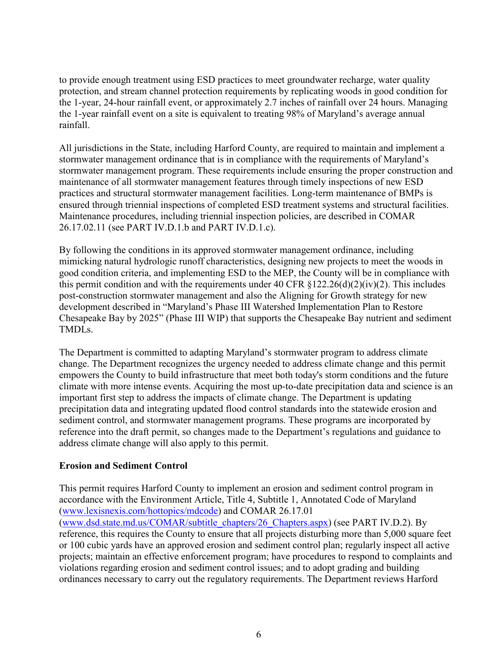to provide enough treatment using ESD practices to meet groundwater recharge, water quality protection, and stream channel protection requirements by replicating woods in good condition for the 1-year, 24-hour rainfall event, or approximately 2.7 inches of rainfall over 24 hours. Managing the 1-year rainfall event on a site is equivalent to treating 98% of Maryland's average annual rainfall.

All jurisdictions in the State, including Harford County, are required to maintain and implement a stormwater management ordinance that is in compliance with the requirements of Maryland's stormwater management program. These requirements include ensuring the proper construction and maintenance of all stormwater management features through timely inspections of new ESD practices and structural stormwater management facilities. Long-term maintenance of BMPs is ensured through triennial inspections of completed ESD treatment systems and structural facilities. Maintenance procedures, including triennial inspection policies, are described in COMAR 26.17.02.11 (see PART IV.D.1.b and PART IV.D.1.c).

By following the conditions in its approved stormwater management ordinance, including mimicking natural hydrologic runoff characteristics, designing new projects to meet the woods in good condition criteria, and implementing ESD to the MEP, the County will be in compliance with this permit condition and with the requirements under 40 CFR  $\S 122.26(d)(2)(iv)(2)$ . This includes post-construction stormwater management and also the Aligning for Growth strategy for new development described in "Maryland's Phase III Watershed Implementation Plan to Restore Chesapeake Bay by 2025" (Phase III WIP) that supports the Chesapeake Bay nutrient and sediment TMDLs.

The Department is committed to adapting Maryland's stormwater program to address climate change. The Department recognizes the urgency needed to address climate change and this permit empowers the County to build infrastructure that meet both today's storm conditions and the future climate with more intense events. Acquiring the most up-to-date precipitation data and science is an important first step to address the impacts of climate change. The Department is updating precipitation data and integrating updated flood control standards into the statewide erosion and sediment control, and stormwater management programs. These programs are incorporated by reference into the draft permit, so changes made to the Department's regulations and guidance to address climate change will also apply to this permit.

## **Erosion and Sediment Control**

This permit requires Harford County to implement an erosion and sediment control program in accordance with the Environment Article, Title 4, Subtitle 1, Annotated Code of Maryland [\(www.lexisnexis.com/hottopics/mdcode\)](http://www.lexisnexis.com/hottopics/mdcode) and COMAR 26.17.01 [\(www.dsd.state.md.us/COMAR/subtitle\\_chapters/26\\_Chapters.aspx\)](http://www.dsd.state.md.us/COMAR/subtitle_chapters/26_Chapters.aspx) (see PART IV.D.2). By reference, this requires the County to ensure that all projects disturbing more than 5,000 square feet or 100 cubic yards have an approved erosion and sediment control plan; regularly inspect all active projects; maintain an effective enforcement program; have procedures to respond to complaints and violations regarding erosion and sediment control issues; and to adopt grading and building ordinances necessary to carry out the regulatory requirements. The Department reviews Harford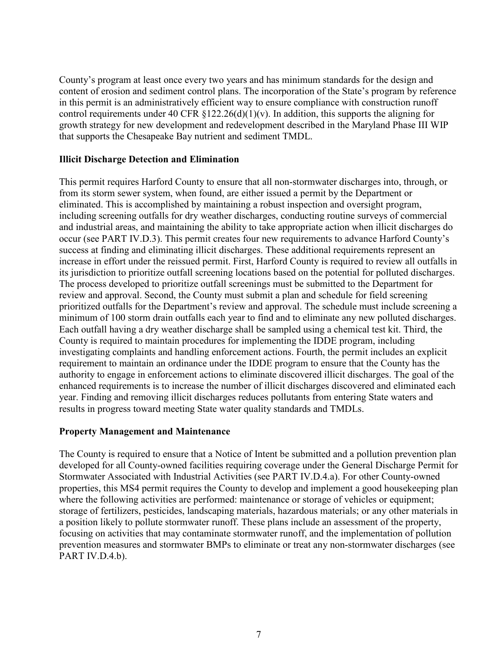County's program at least once every two years and has minimum standards for the design and content of erosion and sediment control plans. The incorporation of the State's program by reference in this permit is an administratively efficient way to ensure compliance with construction runoff control requirements under 40 CFR  $\S 122.26(d)(1)(v)$ . In addition, this supports the aligning for growth strategy for new development and redevelopment described in the Maryland Phase III WIP that supports the Chesapeake Bay nutrient and sediment TMDL.

#### **Illicit Discharge Detection and Elimination**

This permit requires Harford County to ensure that all non-stormwater discharges into, through, or from its storm sewer system, when found, are either issued a permit by the Department or eliminated. This is accomplished by maintaining a robust inspection and oversight program, including screening outfalls for dry weather discharges, conducting routine surveys of commercial and industrial areas, and maintaining the ability to take appropriate action when illicit discharges do occur (see PART IV.D.3). This permit creates four new requirements to advance Harford County's success at finding and eliminating illicit discharges. These additional requirements represent an increase in effort under the reissued permit. First, Harford County is required to review all outfalls in its jurisdiction to prioritize outfall screening locations based on the potential for polluted discharges. The process developed to prioritize outfall screenings must be submitted to the Department for review and approval. Second, the County must submit a plan and schedule for field screening prioritized outfalls for the Department's review and approval. The schedule must include screening a minimum of 100 storm drain outfalls each year to find and to eliminate any new polluted discharges. Each outfall having a dry weather discharge shall be sampled using a chemical test kit. Third, the County is required to maintain procedures for implementing the IDDE program, including investigating complaints and handling enforcement actions. Fourth, the permit includes an explicit requirement to maintain an ordinance under the IDDE program to ensure that the County has the authority to engage in enforcement actions to eliminate discovered illicit discharges. The goal of the enhanced requirements is to increase the number of illicit discharges discovered and eliminated each year. Finding and removing illicit discharges reduces pollutants from entering State waters and results in progress toward meeting State water quality standards and TMDLs.

## **Property Management and Maintenance**

The County is required to ensure that a Notice of Intent be submitted and a pollution prevention plan developed for all County-owned facilities requiring coverage under the General Discharge Permit for Stormwater Associated with Industrial Activities (see PART IV.D.4.a). For other County-owned properties, this MS4 permit requires the County to develop and implement a good housekeeping plan where the following activities are performed: maintenance or storage of vehicles or equipment; storage of fertilizers, pesticides, landscaping materials, hazardous materials; or any other materials in a position likely to pollute stormwater runoff. These plans include an assessment of the property, focusing on activities that may contaminate stormwater runoff, and the implementation of pollution prevention measures and stormwater BMPs to eliminate or treat any non-stormwater discharges (see PART IV.D.4.b).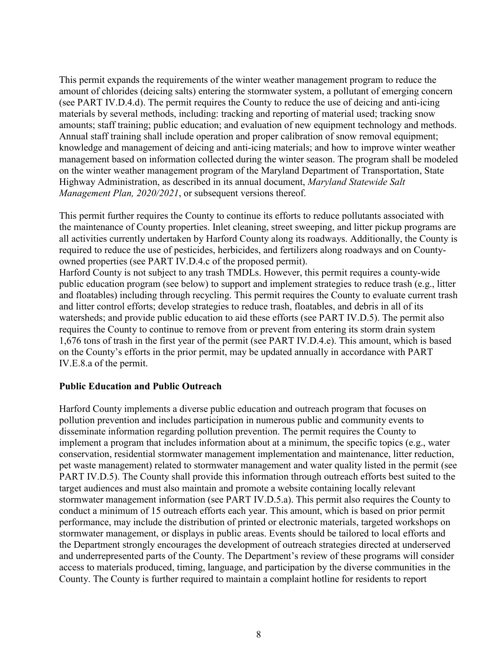This permit expands the requirements of the winter weather management program to reduce the amount of chlorides (deicing salts) entering the stormwater system, a pollutant of emerging concern (see PART IV.D.4.d). The permit requires the County to reduce the use of deicing and anti-icing materials by several methods, including: tracking and reporting of material used; tracking snow amounts; staff training; public education; and evaluation of new equipment technology and methods. Annual staff training shall include operation and proper calibration of snow removal equipment; knowledge and management of deicing and anti-icing materials; and how to improve winter weather management based on information collected during the winter season. The program shall be modeled on the winter weather management program of the Maryland Department of Transportation, State Highway Administration, as described in its annual document, *Maryland Statewide Salt Management Plan, 2020/2021*, or subsequent versions thereof.

This permit further requires the County to continue its efforts to reduce pollutants associated with the maintenance of County properties. Inlet cleaning, street sweeping, and litter pickup programs are all activities currently undertaken by Harford County along its roadways. Additionally, the County is required to reduce the use of pesticides, herbicides, and fertilizers along roadways and on Countyowned properties (see PART IV.D.4.c of the proposed permit).

Harford County is not subject to any trash TMDLs. However, this permit requires a county-wide public education program (see below) to support and implement strategies to reduce trash (e.g., litter and floatables) including through recycling. This permit requires the County to evaluate current trash and litter control efforts; develop strategies to reduce trash, floatables, and debris in all of its watersheds; and provide public education to aid these efforts (see PART IV.D.5). The permit also requires the County to continue to remove from or prevent from entering its storm drain system 1,676 tons of trash in the first year of the permit (see PART IV.D.4.e). This amount, which is based on the County's efforts in the prior permit, may be updated annually in accordance with PART IV.E.8.a of the permit.

## **Public Education and Public Outreach**

Harford County implements a diverse public education and outreach program that focuses on pollution prevention and includes participation in numerous public and community events to disseminate information regarding pollution prevention. The permit requires the County to implement a program that includes information about at a minimum, the specific topics (e.g., water conservation, residential stormwater management implementation and maintenance, litter reduction, pet waste management) related to stormwater management and water quality listed in the permit (see PART IV.D.5). The County shall provide this information through outreach efforts best suited to the target audiences and must also maintain and promote a website containing locally relevant stormwater management information (see PART IV.D.5.a). This permit also requires the County to conduct a minimum of 15 outreach efforts each year. This amount, which is based on prior permit performance, may include the distribution of printed or electronic materials, targeted workshops on stormwater management, or displays in public areas. Events should be tailored to local efforts and the Department strongly encourages the development of outreach strategies directed at underserved and underrepresented parts of the County. The Department's review of these programs will consider access to materials produced, timing, language, and participation by the diverse communities in the County. The County is further required to maintain a complaint hotline for residents to report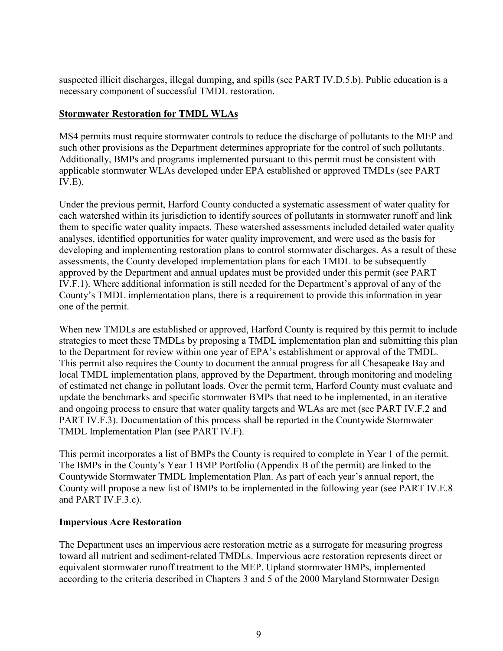suspected illicit discharges, illegal dumping, and spills (see PART IV.D.5.b). Public education is a necessary component of successful TMDL restoration.

#### **Stormwater Restoration for TMDL WLAs**

MS4 permits must require stormwater controls to reduce the discharge of pollutants to the MEP and such other provisions as the Department determines appropriate for the control of such pollutants. Additionally, BMPs and programs implemented pursuant to this permit must be consistent with applicable stormwater WLAs developed under EPA established or approved TMDLs (see PART  $IV.E$ ).

Under the previous permit, Harford County conducted a systematic assessment of water quality for each watershed within its jurisdiction to identify sources of pollutants in stormwater runoff and link them to specific water quality impacts. These watershed assessments included detailed water quality analyses, identified opportunities for water quality improvement, and were used as the basis for developing and implementing restoration plans to control stormwater discharges. As a result of these assessments, the County developed implementation plans for each TMDL to be subsequently approved by the Department and annual updates must be provided under this permit (see PART IV.F.1). Where additional information is still needed for the Department's approval of any of the County's TMDL implementation plans, there is a requirement to provide this information in year one of the permit.

When new TMDLs are established or approved, Harford County is required by this permit to include strategies to meet these TMDLs by proposing a TMDL implementation plan and submitting this plan to the Department for review within one year of EPA's establishment or approval of the TMDL. This permit also requires the County to document the annual progress for all Chesapeake Bay and local TMDL implementation plans, approved by the Department, through monitoring and modeling of estimated net change in pollutant loads. Over the permit term, Harford County must evaluate and update the benchmarks and specific stormwater BMPs that need to be implemented, in an iterative and ongoing process to ensure that water quality targets and WLAs are met (see PART IV.F.2 and PART IV.F.3). Documentation of this process shall be reported in the Countywide Stormwater TMDL Implementation Plan (see PART IV.F).

This permit incorporates a list of BMPs the County is required to complete in Year 1 of the permit. The BMPs in the County's Year 1 BMP Portfolio (Appendix B of the permit) are linked to the Countywide Stormwater TMDL Implementation Plan. As part of each year's annual report, the County will propose a new list of BMPs to be implemented in the following year (see PART IV.E.8 and PART IV.F.3.c).

#### **Impervious Acre Restoration**

The Department uses an impervious acre restoration metric as a surrogate for measuring progress toward all nutrient and sediment-related TMDLs. Impervious acre restoration represents direct or equivalent stormwater runoff treatment to the MEP. Upland stormwater BMPs, implemented according to the criteria described in Chapters 3 and 5 of the 2000 Maryland Stormwater Design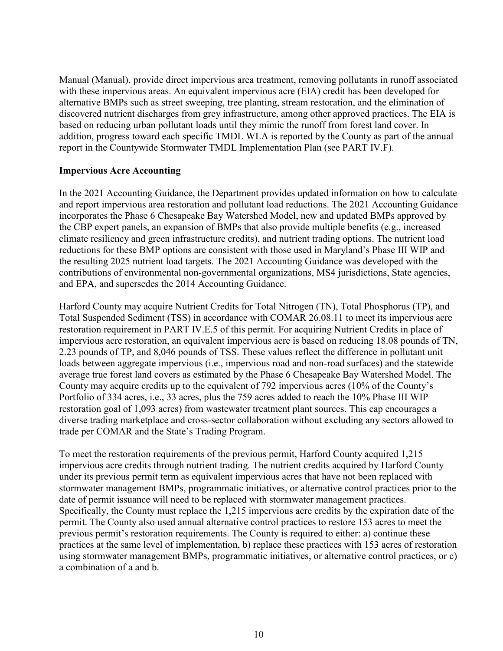Manual (Manual), provide direct impervious area treatment, removing pollutants in runoff associated with these impervious areas. An equivalent impervious acre (EIA) credit has been developed for alternative BMPs such as street sweeping, tree planting, stream restoration, and the elimination of discovered nutrient discharges from grey infrastructure, among other approved practices. The EIA is based on reducing urban pollutant loads until they mimic the runoff from forest land cover. In addition, progress toward each specific TMDL WLA is reported by the County as part of the annual report in the Countywide Stormwater TMDL Implementation Plan (see PART IV.F).

#### **Impervious Acre Accounting**

In the 2021 Accounting Guidance, the Department provides updated information on how to calculate and report impervious area restoration and pollutant load reductions. The 2021 Accounting Guidance incorporates the Phase 6 Chesapeake Bay Watershed Model, new and updated BMPs approved by the CBP expert panels, an expansion of BMPs that also provide multiple benefits (e.g., increased climate resiliency and green infrastructure credits), and nutrient trading options. The nutrient load reductions for these BMP options are consistent with those used in Maryland's Phase III WIP and the resulting 2025 nutrient load targets. The 2021 Accounting Guidance was developed with the contributions of environmental non-governmental organizations, MS4 jurisdictions, State agencies, and EPA, and supersedes the 2014 Accounting Guidance.

Harford County may acquire Nutrient Credits for Total Nitrogen (TN), Total Phosphorus (TP), and Total Suspended Sediment (TSS) in accordance with COMAR 26.08.11 to meet its impervious acre restoration requirement in PART IV.E.5 of this permit. For acquiring Nutrient Credits in place of impervious acre restoration, an equivalent impervious acre is based on reducing 18.08 pounds of TN, 2.23 pounds of TP, and 8,046 pounds of TSS. These values reflect the difference in pollutant unit loads between aggregate impervious (i.e., impervious road and non-road surfaces) and the statewide average true forest land covers as estimated by the Phase 6 Chesapeake Bay Watershed Model. The County may acquire credits up to the equivalent of 792 impervious acres (10% of the County's Portfolio of 334 acres, i.e., 33 acres, plus the 759 acres added to reach the 10% Phase III WIP restoration goal of 1,093 acres) from wastewater treatment plant sources. This cap encourages a diverse trading marketplace and cross-sector collaboration without excluding any sectors allowed to trade per COMAR and the State's Trading Program.

To meet the restoration requirements of the previous permit, Harford County acquired 1,215 impervious acre credits through nutrient trading. The nutrient credits acquired by Harford County under its previous permit term as equivalent impervious acres that have not been replaced with stormwater management BMPs, programmatic initiatives, or alternative control practices prior to the date of permit issuance will need to be replaced with stormwater management practices. Specifically, the County must replace the 1,215 impervious acre credits by the expiration date of the permit. The County also used annual alternative control practices to restore 153 acres to meet the previous permit's restoration requirements. The County is required to either: a) continue these practices at the same level of implementation, b) replace these practices with 153 acres of restoration using stormwater management BMPs, programmatic initiatives, or alternative control practices, or c) a combination of a and b.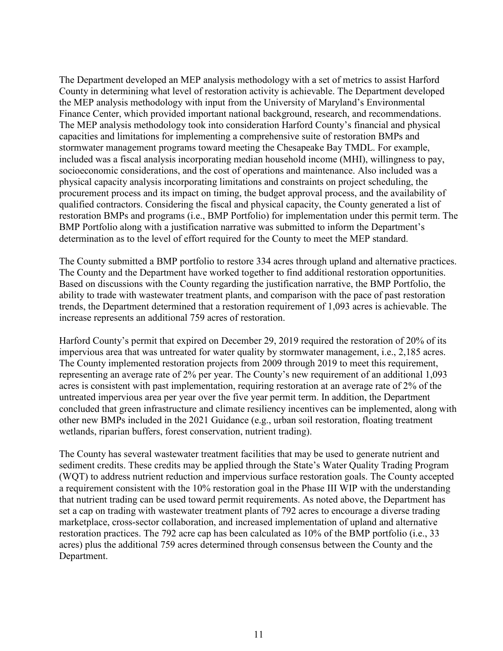The Department developed an MEP analysis methodology with a set of metrics to assist Harford County in determining what level of restoration activity is achievable. The Department developed the MEP analysis methodology with input from the University of Maryland's Environmental Finance Center, which provided important national background, research, and recommendations. The MEP analysis methodology took into consideration Harford County's financial and physical capacities and limitations for implementing a comprehensive suite of restoration BMPs and stormwater management programs toward meeting the Chesapeake Bay TMDL. For example, included was a fiscal analysis incorporating median household income (MHI), willingness to pay, socioeconomic considerations, and the cost of operations and maintenance. Also included was a physical capacity analysis incorporating limitations and constraints on project scheduling, the procurement process and its impact on timing, the budget approval process, and the availability of qualified contractors. Considering the fiscal and physical capacity, the County generated a list of restoration BMPs and programs (i.e., BMP Portfolio) for implementation under this permit term. The BMP Portfolio along with a justification narrative was submitted to inform the Department's determination as to the level of effort required for the County to meet the MEP standard.

The County submitted a BMP portfolio to restore 334 acres through upland and alternative practices. The County and the Department have worked together to find additional restoration opportunities. Based on discussions with the County regarding the justification narrative, the BMP Portfolio, the ability to trade with wastewater treatment plants, and comparison with the pace of past restoration trends, the Department determined that a restoration requirement of 1,093 acres is achievable. The increase represents an additional 759 acres of restoration.

Harford County's permit that expired on December 29, 2019 required the restoration of 20% of its impervious area that was untreated for water quality by stormwater management, i.e., 2,185 acres. The County implemented restoration projects from 2009 through 2019 to meet this requirement, representing an average rate of 2% per year. The County's new requirement of an additional 1,093 acres is consistent with past implementation, requiring restoration at an average rate of 2% of the untreated impervious area per year over the five year permit term. In addition, the Department concluded that green infrastructure and climate resiliency incentives can be implemented, along with other new BMPs included in the 2021 Guidance (e.g., urban soil restoration, floating treatment wetlands, riparian buffers, forest conservation, nutrient trading).

The County has several wastewater treatment facilities that may be used to generate nutrient and sediment credits. These credits may be applied through the State's Water Quality Trading Program (WQT) to address nutrient reduction and impervious surface restoration goals. The County accepted a requirement consistent with the 10% restoration goal in the Phase III WIP with the understanding that nutrient trading can be used toward permit requirements. As noted above, the Department has set a cap on trading with wastewater treatment plants of 792 acres to encourage a diverse trading marketplace, cross-sector collaboration, and increased implementation of upland and alternative restoration practices. The 792 acre cap has been calculated as 10% of the BMP portfolio (i.e., 33 acres) plus the additional 759 acres determined through consensus between the County and the Department.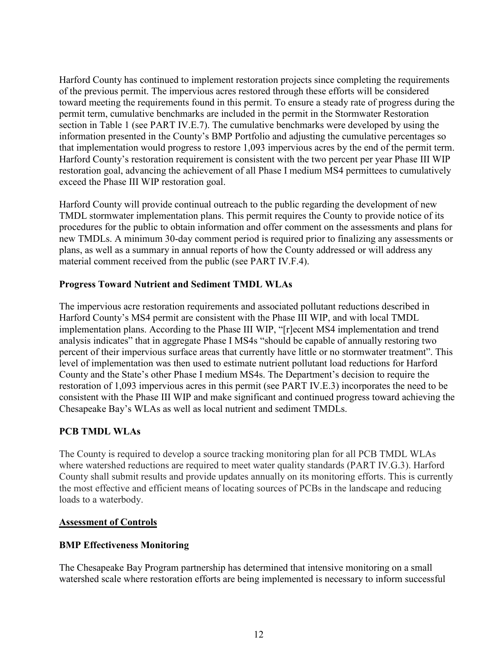Harford County has continued to implement restoration projects since completing the requirements of the previous permit. The impervious acres restored through these efforts will be considered toward meeting the requirements found in this permit. To ensure a steady rate of progress during the permit term, cumulative benchmarks are included in the permit in the Stormwater Restoration section in Table 1 (see PART IV.E.7). The cumulative benchmarks were developed by using the information presented in the County's BMP Portfolio and adjusting the cumulative percentages so that implementation would progress to restore 1,093 impervious acres by the end of the permit term. Harford County's restoration requirement is consistent with the two percent per year Phase III WIP restoration goal, advancing the achievement of all Phase I medium MS4 permittees to cumulatively exceed the Phase III WIP restoration goal.

Harford County will provide continual outreach to the public regarding the development of new TMDL stormwater implementation plans. This permit requires the County to provide notice of its procedures for the public to obtain information and offer comment on the assessments and plans for new TMDLs. A minimum 30-day comment period is required prior to finalizing any assessments or plans, as well as a summary in annual reports of how the County addressed or will address any material comment received from the public (see PART IV.F.4).

## **Progress Toward Nutrient and Sediment TMDL WLAs**

The impervious acre restoration requirements and associated pollutant reductions described in Harford County's MS4 permit are consistent with the Phase III WIP, and with local TMDL implementation plans. According to the Phase III WIP, "[r]ecent MS4 implementation and trend analysis indicates" that in aggregate Phase I MS4s "should be capable of annually restoring two percent of their impervious surface areas that currently have little or no stormwater treatment". This level of implementation was then used to estimate nutrient pollutant load reductions for Harford County and the State's other Phase I medium MS4s. The Department's decision to require the restoration of 1,093 impervious acres in this permit (see PART IV.E.3) incorporates the need to be consistent with the Phase III WIP and make significant and continued progress toward achieving the Chesapeake Bay's WLAs as well as local nutrient and sediment TMDLs.

## **PCB TMDL WLAs**

The County is required to develop a source tracking monitoring plan for all PCB TMDL WLAs where watershed reductions are required to meet water quality standards (PART IV.G.3). Harford County shall submit results and provide updates annually on its monitoring efforts. This is currently the most effective and efficient means of locating sources of PCBs in the landscape and reducing loads to a waterbody.

## **Assessment of Controls**

## **BMP Effectiveness Monitoring**

The Chesapeake Bay Program partnership has determined that intensive monitoring on a small watershed scale where restoration efforts are being implemented is necessary to inform successful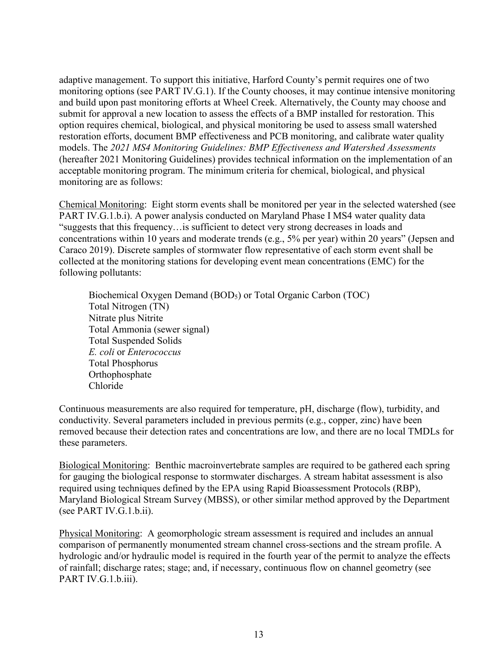adaptive management. To support this initiative, Harford County's permit requires one of two monitoring options (see PART IV.G.1). If the County chooses, it may continue intensive monitoring and build upon past monitoring efforts at Wheel Creek. Alternatively, the County may choose and submit for approval a new location to assess the effects of a BMP installed for restoration. This option requires chemical, biological, and physical monitoring be used to assess small watershed restoration efforts, document BMP effectiveness and PCB monitoring, and calibrate water quality models. The *2021 MS4 Monitoring Guidelines: BMP Effectiveness and Watershed Assessments* (hereafter 2021 Monitoring Guidelines) provides technical information on the implementation of an acceptable monitoring program. The minimum criteria for chemical, biological, and physical monitoring are as follows:

Chemical Monitoring: Eight storm events shall be monitored per year in the selected watershed (see PART IV.G.1.b.i). A power analysis conducted on Maryland Phase I MS4 water quality data "suggests that this frequency…is sufficient to detect very strong decreases in loads and concentrations within 10 years and moderate trends (e.g., 5% per year) within 20 years" (Jepsen and Caraco 2019). Discrete samples of stormwater flow representative of each storm event shall be collected at the monitoring stations for developing event mean concentrations (EMC) for the following pollutants:

Biochemical Oxygen Demand (BOD<sub>5</sub>) or Total Organic Carbon (TOC) Total Nitrogen (TN) Nitrate plus Nitrite Total Ammonia (sewer signal) Total Suspended Solids *E. coli* or *Enterococcus* Total Phosphorus Orthophosphate Chloride

Continuous measurements are also required for temperature, pH, discharge (flow), turbidity, and conductivity. Several parameters included in previous permits (e.g., copper, zinc) have been removed because their detection rates and concentrations are low, and there are no local TMDLs for these parameters.

Biological Monitoring: Benthic macroinvertebrate samples are required to be gathered each spring for gauging the biological response to stormwater discharges. A stream habitat assessment is also required using techniques defined by the EPA using Rapid Bioassessment Protocols (RBP), Maryland Biological Stream Survey (MBSS), or other similar method approved by the Department (see PART IV.G.1.b.ii).

Physical Monitoring: A geomorphologic stream assessment is required and includes an annual comparison of permanently monumented stream channel cross-sections and the stream profile. A hydrologic and/or hydraulic model is required in the fourth year of the permit to analyze the effects of rainfall; discharge rates; stage; and, if necessary, continuous flow on channel geometry (see PART IV.G.1.b.iii).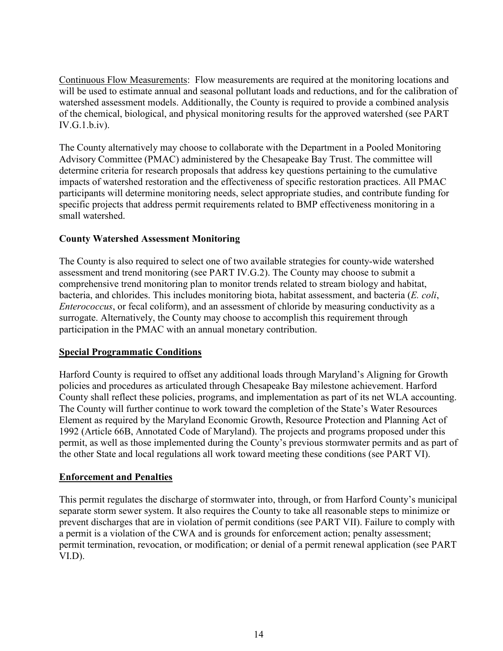Continuous Flow Measurements: Flow measurements are required at the monitoring locations and will be used to estimate annual and seasonal pollutant loads and reductions, and for the calibration of watershed assessment models. Additionally, the County is required to provide a combined analysis of the chemical, biological, and physical monitoring results for the approved watershed (see PART IV.G.1.b.iv).

The County alternatively may choose to collaborate with the Department in a Pooled Monitoring Advisory Committee (PMAC) administered by the Chesapeake Bay Trust. The committee will determine criteria for research proposals that address key questions pertaining to the cumulative impacts of watershed restoration and the effectiveness of specific restoration practices. All PMAC participants will determine monitoring needs, select appropriate studies, and contribute funding for specific projects that address permit requirements related to BMP effectiveness monitoring in a small watershed.

## **County Watershed Assessment Monitoring**

The County is also required to select one of two available strategies for county-wide watershed assessment and trend monitoring (see PART IV.G.2). The County may choose to submit a comprehensive trend monitoring plan to monitor trends related to stream biology and habitat, bacteria, and chlorides. This includes monitoring biota, habitat assessment, and bacteria (*E. coli*, *Enterococcus*, or fecal coliform), and an assessment of chloride by measuring conductivity as a surrogate. Alternatively, the County may choose to accomplish this requirement through participation in the PMAC with an annual monetary contribution.

#### **Special Programmatic Conditions**

Harford County is required to offset any additional loads through Maryland's Aligning for Growth policies and procedures as articulated through Chesapeake Bay milestone achievement. Harford County shall reflect these policies, programs, and implementation as part of its net WLA accounting. The County will further continue to work toward the completion of the State's Water Resources Element as required by the Maryland Economic Growth, Resource Protection and Planning Act of 1992 (Article 66B, Annotated Code of Maryland). The projects and programs proposed under this permit, as well as those implemented during the County's previous stormwater permits and as part of the other State and local regulations all work toward meeting these conditions (see PART VI).

#### **Enforcement and Penalties**

This permit regulates the discharge of stormwater into, through, or from Harford County's municipal separate storm sewer system. It also requires the County to take all reasonable steps to minimize or prevent discharges that are in violation of permit conditions (see PART VII). Failure to comply with a permit is a violation of the CWA and is grounds for enforcement action; penalty assessment; permit termination, revocation, or modification; or denial of a permit renewal application (see PART VI.D).